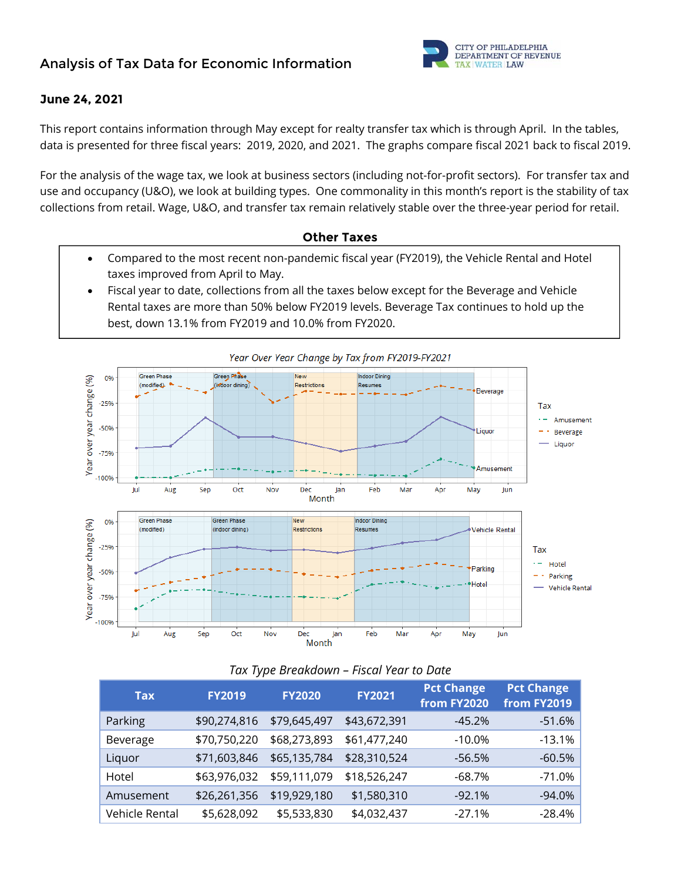

### **June 24, 2021**

This report contains information through May except for realty transfer tax which is through April. In the tables, data is presented for three fiscal years: 2019, 2020, and 2021. The graphs compare fiscal 2021 back to fiscal 2019.

For the analysis of the wage tax, we look at business sectors (including not-for-profit sectors). For transfer tax and use and occupancy (U&O), we look at building types. One commonality in this month's report is the stability of tax collections from retail. Wage, U&O, and transfer tax remain relatively stable over the three-year period for retail.

### **Other Taxes**

- Compared to the most recent non-pandemic fiscal year (FY2019), the Vehicle Rental and Hotel taxes improved from April to May.
- Fiscal year to date, collections from all the taxes below except for the Beverage and Vehicle Rental taxes are more than 50% below FY2019 levels. Beverage Tax continues to hold up the best, down 13.1% from FY2019 and 10.0% from FY2020.



### *Tax Type Breakdown – Fiscal Year to Date*

| Tax            | <b>FY2019</b> | <b>FY2020</b> | <b>FY2021</b> | <b>Pct Change</b><br>from FY2020 | <b>Pct Change</b><br>from FY2019 |
|----------------|---------------|---------------|---------------|----------------------------------|----------------------------------|
| Parking        | \$90,274,816  | \$79,645,497  | \$43,672,391  | $-45.2%$                         | $-51.6%$                         |
| Beverage       | \$70,750,220  | \$68,273,893  | \$61,477,240  | $-10.0\%$                        | $-13.1%$                         |
| Liquor         | \$71,603,846  | \$65,135,784  | \$28,310,524  | $-56.5%$                         | $-60.5%$                         |
| Hotel          | \$63,976,032  | \$59,111,079  | \$18,526,247  | $-68.7%$                         | $-71.0%$                         |
| Amusement      | \$26,261,356  | \$19,929,180  | \$1,580,310   | $-92.1%$                         | $-94.0%$                         |
| Vehicle Rental | \$5,628,092   | \$5,533,830   | \$4,032,437   | $-27.1%$                         | $-28.4%$                         |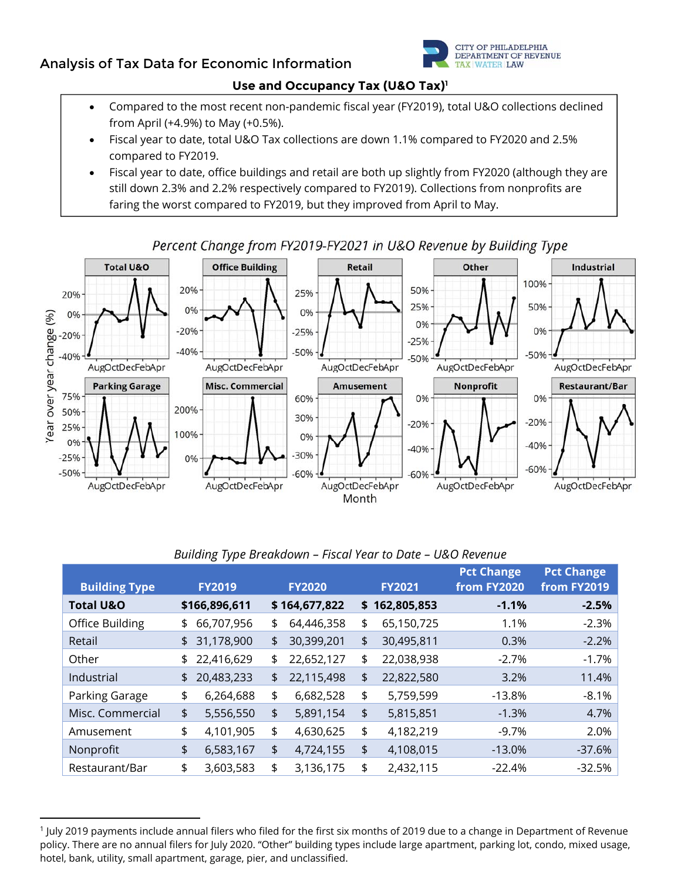# **Analysis of Tax Data for Economic Information**



### **Use and Occupancy Tax (U&O Tax)1**

- Compared to the most recent non-pandemic fiscal year (FY2019), total U&O collections declined from April (+4.9%) to May (+0.5%).
- Fiscal year to date, total U&O Tax collections are down 1.1% compared to FY2020 and 2.5% compared to FY2019.
- Fiscal year to date, office buildings and retail are both up slightly from FY2020 (although they are still down 2.3% and 2.2% respectively compared to FY2019). Collections from nonprofits are faring the worst compared to FY2019, but they improved from April to May.



### Percent Change from FY2019-FY2021 in U&O Revenue by Building Type

|  | Building Type Breakdown - Fiscal Year to Date - U&O Revenue |
|--|-------------------------------------------------------------|
|--|-------------------------------------------------------------|

| <b>Building Type</b> | <b>FY2019</b>    | <b>FY2020</b>    |     | <b>FY2021</b> | <b>Pct Change</b><br>from FY2020 | <b>Pct Change</b><br>from FY2019 |
|----------------------|------------------|------------------|-----|---------------|----------------------------------|----------------------------------|
| <b>Total U&amp;O</b> | \$166,896,611    | \$164,677,822    | \$. | 162,805,853   | $-1.1%$                          | $-2.5%$                          |
| Office Building      | \$<br>66,707,956 | \$<br>64,446,358 | \$  | 65,150,725    | 1.1%                             | $-2.3%$                          |
| Retail               | \$<br>31,178,900 | \$<br>30,399,201 | \$  | 30,495,811    | 0.3%                             | $-2.2%$                          |
| Other                | \$<br>22,416,629 | \$<br>22,652,127 | \$  | 22,038,938    | $-2.7%$                          | $-1.7%$                          |
| Industrial           | \$<br>20,483,233 | \$<br>22,115,498 | \$  | 22,822,580    | 3.2%                             | 11.4%                            |
| Parking Garage       | \$<br>6,264,688  | \$<br>6,682,528  | \$  | 5,759,599     | $-13.8%$                         | $-8.1%$                          |
| Misc. Commercial     | \$<br>5,556,550  | \$<br>5,891,154  | \$  | 5,815,851     | $-1.3%$                          | 4.7%                             |
| Amusement            | \$<br>4,101,905  | \$<br>4,630,625  | \$  | 4,182,219     | $-9.7%$                          | 2.0%                             |
| Nonprofit            | \$<br>6,583,167  | \$<br>4,724,155  | \$  | 4,108,015     | $-13.0%$                         | $-37.6%$                         |
| Restaurant/Bar       | \$<br>3,603,583  | \$<br>3,136,175  | \$  | 2,432,115     | $-22.4%$                         | $-32.5%$                         |

<sup>1</sup> July 2019 payments include annual filers who filed for the first six months of 2019 due to a change in Department of Revenue policy. There are no annual filers for July 2020. "Other" building types include large apartment, parking lot, condo, mixed usage, hotel, bank, utility, small apartment, garage, pier, and unclassified.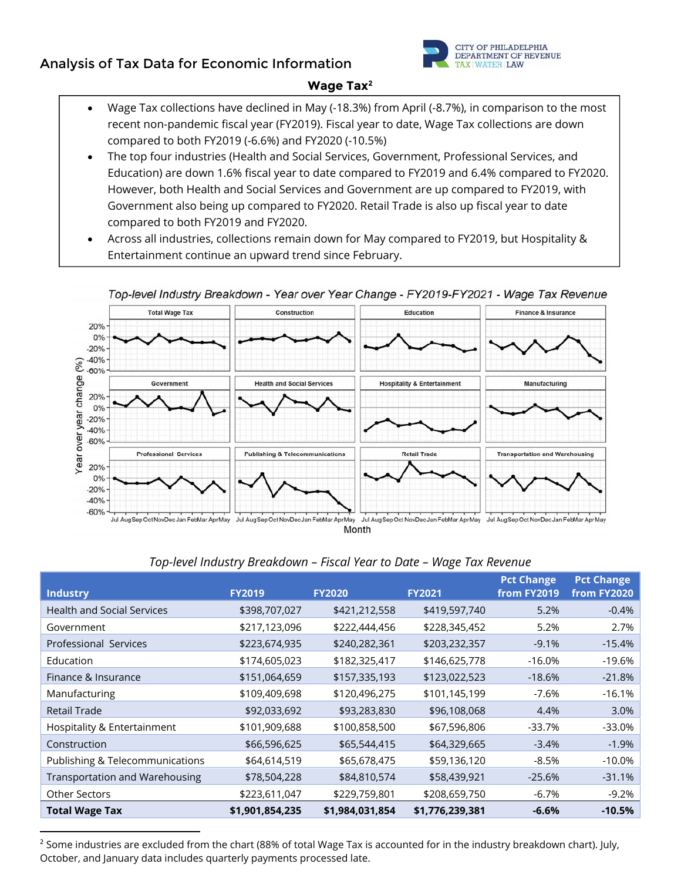## **Analysis of Tax Data for Economic Information**



### **Wage Tax2**

- Wage Tax collections have declined in May (-18.3%) from April (-8.7%), in comparison to the most recent non-pandemic fiscal year (FY2019). Fiscal year to date, Wage Tax collections are down compared to both FY2019 (-6.6%) and FY2020 (-10.5%)
- The top four industries (Health and Social Services, Government, Professional Services, and Education) are down 1.6% fiscal year to date compared to FY2019 and 6.4% compared to FY2020. However, both Health and Social Services and Government are up compared to FY2019, with Government also being up compared to FY2020. Retail Trade is also up fiscal year to date compared to both FY2019 and FY2020.
- Across all industries, collections remain down for May compared to FY2019, but Hospitality & Entertainment continue an upward trend since February.



### Top-level Industry Breakdown - Year over Year Change - FY2019-FY2021 - Wage Tax Revenue

| Top-level Industry Breakdown - Fiscal Year to Date - Wage Tax Revenue |  |  |
|-----------------------------------------------------------------------|--|--|

|                                       |                 |                 |                 | <b>Pct Change</b> | <b>Pct Change</b> |
|---------------------------------------|-----------------|-----------------|-----------------|-------------------|-------------------|
| <b>Industry</b>                       | <b>FY2019</b>   | <b>FY2020</b>   | <b>FY2021</b>   | from FY2019       | from FY2020       |
| <b>Health and Social Services</b>     | \$398,707,027   | \$421,212,558   | \$419,597,740   | 5.2%              | $-0.4%$           |
| Government                            | \$217,123,096   | \$222,444,456   | \$228,345,452   | 5.2%              | 2.7%              |
| Professional Services                 | \$223,674,935   | \$240,282,361   | \$203,232,357   | $-9.1%$           | $-15.4%$          |
| Education                             | \$174,605,023   | \$182,325,417   | \$146,625,778   | $-16.0%$          | $-19.6%$          |
| Finance & Insurance                   | \$151,064,659   | \$157,335,193   | \$123,022,523   | $-18.6%$          | $-21.8%$          |
| Manufacturing                         | \$109,409,698   | \$120,496,275   | \$101,145,199   | $-7.6%$           | $-16.1%$          |
| Retail Trade                          | \$92,033,692    | \$93,283,830    | \$96,108,068    | 4.4%              | 3.0%              |
| Hospitality & Entertainment           | \$101,909,688   | \$100,858,500   | \$67,596,806    | $-33.7%$          | $-33.0%$          |
| Construction                          | \$66,596,625    | \$65,544,415    | \$64,329,665    | $-3.4%$           | $-1.9%$           |
| Publishing & Telecommunications       | \$64,614,519    | \$65,678,475    | \$59,136,120    | $-8.5%$           | $-10.0\%$         |
| <b>Transportation and Warehousing</b> | \$78,504,228    | \$84,810,574    | \$58,439,921    | $-25.6%$          | $-31.1%$          |
| <b>Other Sectors</b>                  | \$223,611,047   | \$229,759,801   | \$208,659,750   | $-6.7%$           | $-9.2%$           |
| <b>Total Wage Tax</b>                 | \$1,901,854,235 | \$1,984,031,854 | \$1,776,239,381 | $-6.6%$           | $-10.5%$          |

<sup>&</sup>lt;sup>2</sup> Some industries are excluded from the chart (88% of total Wage Tax is accounted for in the industry breakdown chart). July, October, and January data includes quarterly payments processed late.